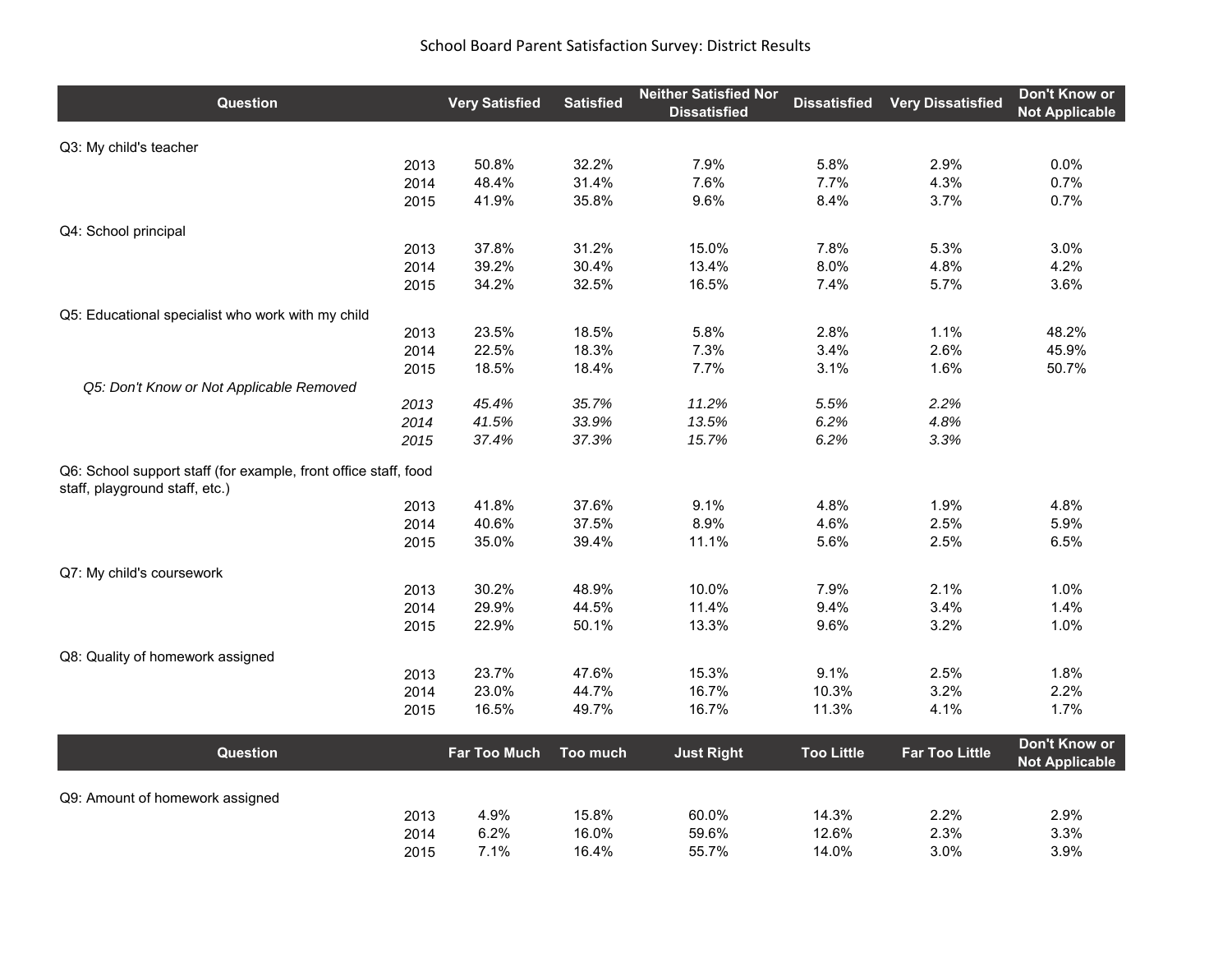| Question                                                                                          | <b>Very Satisfied</b> | <b>Satisfied</b> | <b>Neither Satisfied Nor</b><br><b>Dissatisfied</b> | <b>Dissatisfied</b> | <b>Very Dissatisfied</b> | Don't Know or<br><b>Not Applicable</b> |
|---------------------------------------------------------------------------------------------------|-----------------------|------------------|-----------------------------------------------------|---------------------|--------------------------|----------------------------------------|
| Q3: My child's teacher                                                                            |                       |                  |                                                     |                     |                          |                                        |
| 2013                                                                                              | 50.8%                 | 32.2%            | 7.9%                                                | 5.8%                | 2.9%                     | 0.0%                                   |
| 2014                                                                                              | 48.4%                 | 31.4%            | 7.6%                                                | 7.7%                | 4.3%                     | 0.7%                                   |
| 2015                                                                                              | 41.9%                 | 35.8%            | 9.6%                                                | 8.4%                | 3.7%                     | 0.7%                                   |
| Q4: School principal                                                                              |                       |                  |                                                     |                     |                          |                                        |
| 2013                                                                                              | 37.8%                 | 31.2%            | 15.0%                                               | 7.8%                | 5.3%                     | 3.0%                                   |
| 2014                                                                                              | 39.2%                 | 30.4%            | 13.4%                                               | 8.0%                | 4.8%                     | 4.2%                                   |
| 2015                                                                                              | 34.2%                 | 32.5%            | 16.5%                                               | 7.4%                | 5.7%                     | 3.6%                                   |
| Q5: Educational specialist who work with my child                                                 |                       |                  |                                                     |                     |                          |                                        |
| 2013                                                                                              | 23.5%                 | 18.5%            | 5.8%                                                | 2.8%                | 1.1%                     | 48.2%                                  |
| 2014                                                                                              | 22.5%                 | 18.3%            | 7.3%                                                | 3.4%                | 2.6%                     | 45.9%                                  |
| 2015                                                                                              | 18.5%                 | 18.4%            | 7.7%                                                | 3.1%                | 1.6%                     | 50.7%                                  |
| Q5: Don't Know or Not Applicable Removed<br>2013                                                  | 45.4%                 | 35.7%            | 11.2%                                               | 5.5%                | 2.2%                     |                                        |
| 2014                                                                                              | 41.5%                 | 33.9%            | 13.5%                                               | 6.2%                | 4.8%                     |                                        |
| 2015                                                                                              | 37.4%                 | 37.3%            | 15.7%                                               | 6.2%                | 3.3%                     |                                        |
| Q6: School support staff (for example, front office staff, food<br>staff, playground staff, etc.) |                       |                  |                                                     |                     |                          |                                        |
| 2013                                                                                              | 41.8%                 | 37.6%            | 9.1%                                                | 4.8%                | 1.9%                     | 4.8%                                   |
| 2014                                                                                              | 40.6%                 | 37.5%            | 8.9%                                                | 4.6%                | 2.5%                     | 5.9%                                   |
| 2015                                                                                              | 35.0%                 | 39.4%            | 11.1%                                               | 5.6%                | 2.5%                     | 6.5%                                   |
| Q7: My child's coursework                                                                         |                       |                  |                                                     |                     |                          |                                        |
| 2013                                                                                              | 30.2%                 | 48.9%            | 10.0%                                               | 7.9%                | 2.1%                     | 1.0%                                   |
| 2014                                                                                              | 29.9%                 | 44.5%            | 11.4%                                               | 9.4%                | 3.4%                     | 1.4%                                   |
| 2015                                                                                              | 22.9%                 | 50.1%            | 13.3%                                               | 9.6%                | 3.2%                     | 1.0%                                   |
| Q8: Quality of homework assigned                                                                  |                       |                  |                                                     |                     |                          |                                        |
| 2013                                                                                              | 23.7%                 | 47.6%            | 15.3%                                               | 9.1%                | 2.5%                     | 1.8%                                   |
| 2014                                                                                              | 23.0%                 | 44.7%            | 16.7%                                               | 10.3%               | 3.2%                     | 2.2%                                   |
| 2015                                                                                              | 16.5%                 | 49.7%            | 16.7%                                               | 11.3%               | 4.1%                     | 1.7%                                   |
| <b>Question</b>                                                                                   | <b>Far Too Much</b>   | Too much         | <b>Just Right</b>                                   | <b>Too Little</b>   | <b>Far Too Little</b>    | Don't Know or<br><b>Not Applicable</b> |
|                                                                                                   |                       |                  |                                                     |                     |                          |                                        |
| Q9: Amount of homework assigned<br>2013                                                           | 4.9%                  | 15.8%            | 60.0%                                               | 14.3%               | 2.2%                     | 2.9%                                   |
| 2014                                                                                              | 6.2%                  | 16.0%            | 59.6%                                               | 12.6%               | 2.3%                     | 3.3%                                   |
| 2015                                                                                              | 7.1%                  | 16.4%            | 55.7%                                               | 14.0%               | 3.0%                     | 3.9%                                   |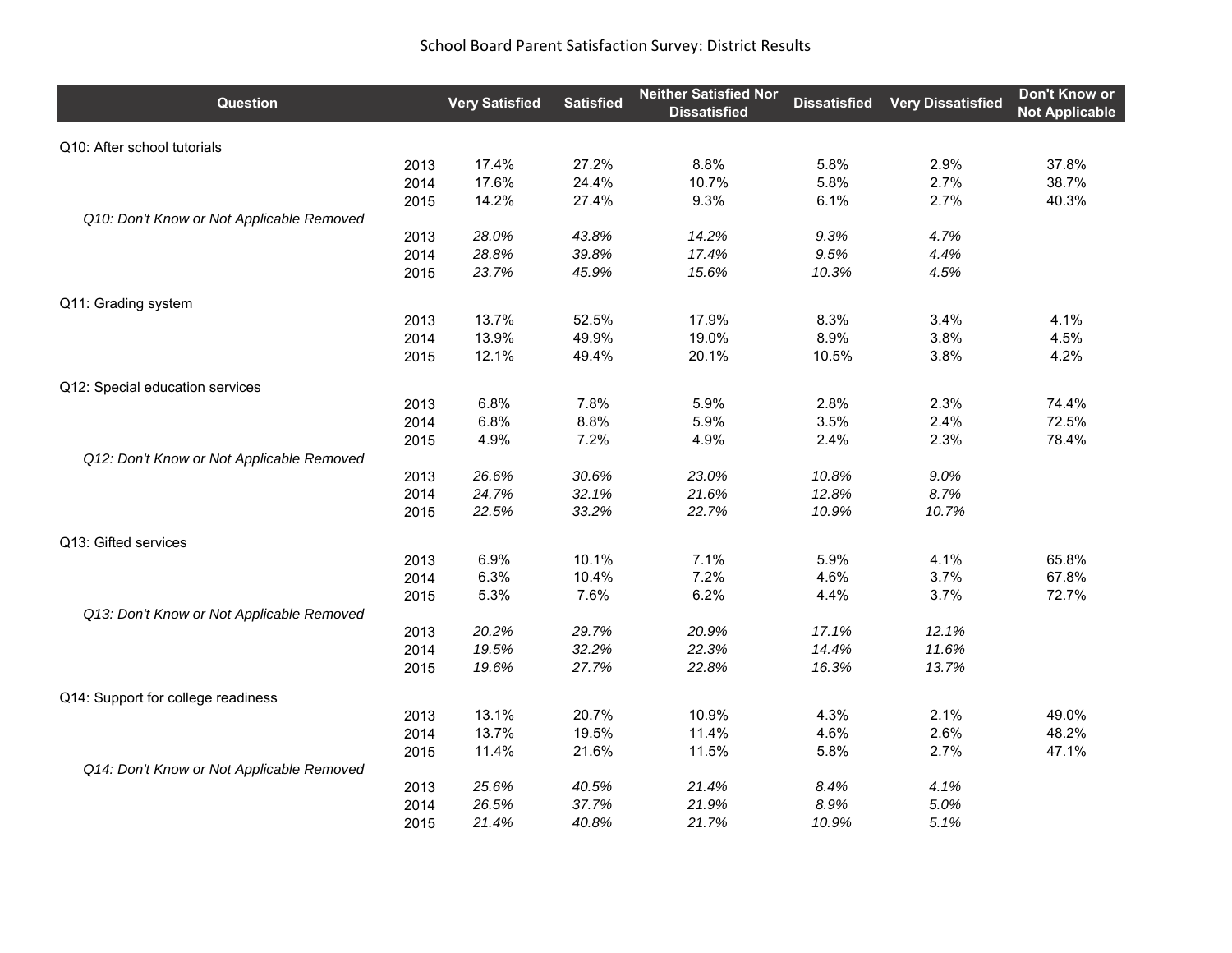| Question                                  | <b>Very Satisfied</b> | <b>Satisfied</b> | <b>Neither Satisfied Nor</b><br><b>Dissatisfied</b> | <b>Dissatisfied</b> | <b>Very Dissatisfied</b> | Don't Know or<br><b>Not Applicable</b> |
|-------------------------------------------|-----------------------|------------------|-----------------------------------------------------|---------------------|--------------------------|----------------------------------------|
| Q10: After school tutorials               |                       |                  |                                                     |                     |                          |                                        |
| 2013                                      | 17.4%                 | 27.2%            | 8.8%                                                | 5.8%                | 2.9%                     | 37.8%                                  |
| 2014                                      | 17.6%                 | 24.4%            | 10.7%                                               | 5.8%                | 2.7%                     | 38.7%                                  |
| 2015                                      | 14.2%                 | 27.4%            | 9.3%                                                | 6.1%                | 2.7%                     | 40.3%                                  |
| Q10: Don't Know or Not Applicable Removed |                       |                  |                                                     |                     |                          |                                        |
| 2013                                      | 28.0%                 | 43.8%            | 14.2%                                               | 9.3%                | 4.7%                     |                                        |
| 2014                                      | 28.8%                 | 39.8%            | 17.4%                                               | 9.5%                | 4.4%                     |                                        |
| 2015                                      | 23.7%                 | 45.9%            | 15.6%                                               | 10.3%               | 4.5%                     |                                        |
| Q11: Grading system                       |                       |                  |                                                     |                     |                          |                                        |
| 2013                                      | 13.7%                 | 52.5%            | 17.9%                                               | 8.3%                | 3.4%                     | 4.1%                                   |
| 2014                                      | 13.9%                 | 49.9%            | 19.0%                                               | 8.9%                | 3.8%                     | 4.5%                                   |
| 2015                                      | 12.1%                 | 49.4%            | 20.1%                                               | 10.5%               | 3.8%                     | 4.2%                                   |
| Q12: Special education services           |                       |                  |                                                     |                     |                          |                                        |
| 2013                                      | 6.8%                  | 7.8%             | 5.9%                                                | 2.8%                | 2.3%                     | 74.4%                                  |
| 2014                                      | 6.8%                  | 8.8%             | 5.9%                                                | 3.5%                | 2.4%                     | 72.5%                                  |
| 2015                                      | 4.9%                  | 7.2%             | 4.9%                                                | 2.4%                | 2.3%                     | 78.4%                                  |
| Q12: Don't Know or Not Applicable Removed |                       |                  |                                                     |                     |                          |                                        |
| 2013                                      | 26.6%                 | 30.6%            | 23.0%                                               | 10.8%               | 9.0%                     |                                        |
| 2014                                      | 24.7%                 | 32.1%            | 21.6%                                               | 12.8%               | 8.7%                     |                                        |
| 2015                                      | 22.5%                 | 33.2%            | 22.7%                                               | 10.9%               | 10.7%                    |                                        |
| Q13: Gifted services                      |                       |                  |                                                     |                     |                          |                                        |
| 2013                                      | 6.9%                  | 10.1%            | 7.1%                                                | 5.9%                | 4.1%                     | 65.8%                                  |
| 2014                                      | 6.3%                  | 10.4%            | 7.2%                                                | 4.6%                | 3.7%                     | 67.8%                                  |
| 2015                                      | 5.3%                  | 7.6%             | 6.2%                                                | 4.4%                | 3.7%                     | 72.7%                                  |
| Q13: Don't Know or Not Applicable Removed |                       |                  |                                                     |                     |                          |                                        |
| 2013                                      | 20.2%                 | 29.7%            | 20.9%                                               | 17.1%               | 12.1%                    |                                        |
| 2014                                      | 19.5%                 | 32.2%            | 22.3%                                               | 14.4%               | 11.6%                    |                                        |
| 2015                                      | 19.6%                 | 27.7%            | 22.8%                                               | 16.3%               | 13.7%                    |                                        |
| Q14: Support for college readiness        |                       |                  |                                                     |                     |                          |                                        |
| 2013                                      | 13.1%                 | 20.7%            | 10.9%                                               | 4.3%                | 2.1%                     | 49.0%                                  |
| 2014                                      | 13.7%                 | 19.5%            | 11.4%                                               | 4.6%                | 2.6%                     | 48.2%                                  |
| 2015                                      | 11.4%                 | 21.6%            | 11.5%                                               | 5.8%                | 2.7%                     | 47.1%                                  |
| Q14: Don't Know or Not Applicable Removed |                       |                  |                                                     |                     |                          |                                        |
| 2013                                      | 25.6%                 | 40.5%            | 21.4%                                               | 8.4%                | 4.1%                     |                                        |
| 2014                                      | 26.5%                 | 37.7%            | 21.9%                                               | 8.9%                | 5.0%                     |                                        |
| 2015                                      | 21.4%                 | 40.8%            | 21.7%                                               | 10.9%               | 5.1%                     |                                        |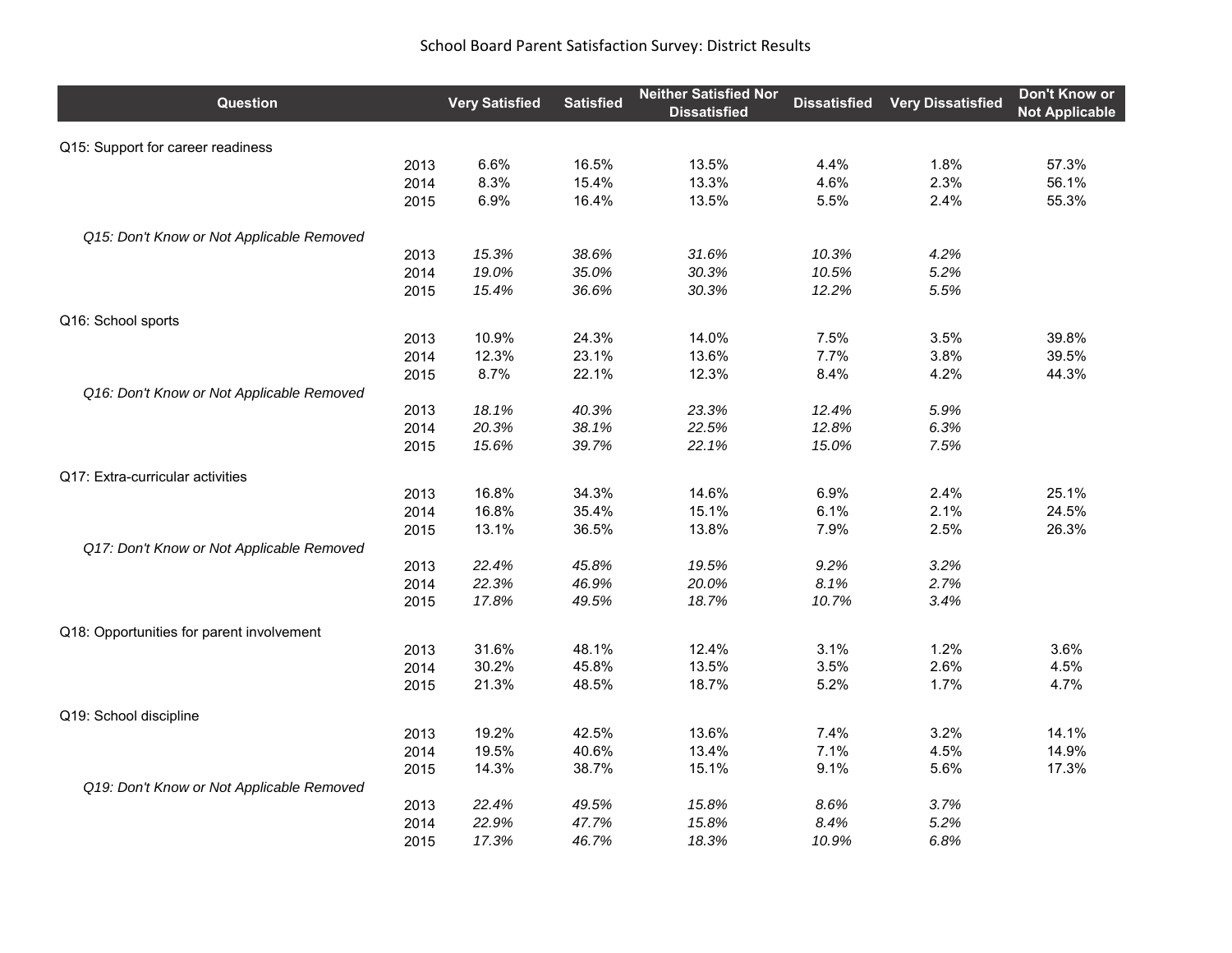| Question                                  | <b>Very Satisfied</b> | <b>Satisfied</b> | <b>Neither Satisfied Nor</b><br><b>Dissatisfied</b> | <b>Dissatisfied</b> | <b>Very Dissatisfied</b> | Don't Know or<br><b>Not Applicable</b> |
|-------------------------------------------|-----------------------|------------------|-----------------------------------------------------|---------------------|--------------------------|----------------------------------------|
| Q15: Support for career readiness         |                       |                  |                                                     |                     |                          |                                        |
| 2013                                      | 6.6%                  | 16.5%            | 13.5%                                               | 4.4%                | 1.8%                     | 57.3%                                  |
| 2014                                      | 8.3%                  | 15.4%            | 13.3%                                               | 4.6%                | 2.3%                     | 56.1%                                  |
| 2015                                      | 6.9%                  | 16.4%            | 13.5%                                               | 5.5%                | 2.4%                     | 55.3%                                  |
| Q15: Don't Know or Not Applicable Removed |                       |                  |                                                     |                     |                          |                                        |
| 2013                                      | 15.3%                 | 38.6%            | 31.6%                                               | 10.3%               | 4.2%                     |                                        |
| 2014                                      | 19.0%                 | 35.0%            | 30.3%                                               | 10.5%               | 5.2%                     |                                        |
| 2015                                      | 15.4%                 | 36.6%            | 30.3%                                               | 12.2%               | 5.5%                     |                                        |
| Q16: School sports                        |                       |                  |                                                     |                     |                          |                                        |
| 2013                                      | 10.9%                 | 24.3%            | 14.0%                                               | 7.5%                | 3.5%                     | 39.8%                                  |
| 2014                                      | 12.3%                 | 23.1%            | 13.6%                                               | 7.7%                | 3.8%                     | 39.5%                                  |
| 2015                                      | 8.7%                  | 22.1%            | 12.3%                                               | 8.4%                | 4.2%                     | 44.3%                                  |
| Q16: Don't Know or Not Applicable Removed |                       |                  |                                                     |                     |                          |                                        |
| 2013                                      | 18.1%                 | 40.3%            | 23.3%                                               | 12.4%               | 5.9%                     |                                        |
| 2014                                      | 20.3%                 | 38.1%            | 22.5%                                               | 12.8%               | 6.3%                     |                                        |
| 2015                                      | 15.6%                 | 39.7%            | 22.1%                                               | 15.0%               | 7.5%                     |                                        |
| Q17: Extra-curricular activities          |                       |                  |                                                     |                     |                          |                                        |
| 2013                                      | 16.8%                 | 34.3%            | 14.6%                                               | 6.9%                | 2.4%                     | 25.1%                                  |
| 2014                                      | 16.8%                 | 35.4%            | 15.1%                                               | 6.1%                | 2.1%                     | 24.5%                                  |
| 2015                                      | 13.1%                 | 36.5%            | 13.8%                                               | 7.9%                | 2.5%                     | 26.3%                                  |
| Q17: Don't Know or Not Applicable Removed |                       |                  |                                                     |                     |                          |                                        |
| 2013                                      | 22.4%                 | 45.8%            | 19.5%                                               | 9.2%                | 3.2%                     |                                        |
| 2014                                      | 22.3%                 | 46.9%            | 20.0%                                               | 8.1%                | 2.7%                     |                                        |
| 2015                                      | 17.8%                 | 49.5%            | 18.7%                                               | 10.7%               | 3.4%                     |                                        |
| Q18: Opportunities for parent involvement |                       |                  |                                                     |                     |                          |                                        |
| 2013                                      | 31.6%                 | 48.1%            | 12.4%                                               | 3.1%                | 1.2%                     | 3.6%                                   |
| 2014                                      | 30.2%                 | 45.8%            | 13.5%                                               | 3.5%                | 2.6%                     | 4.5%                                   |
| 2015                                      | 21.3%                 | 48.5%            | 18.7%                                               | 5.2%                | 1.7%                     | 4.7%                                   |
| Q19: School discipline                    |                       |                  |                                                     |                     |                          |                                        |
| 2013                                      | 19.2%                 | 42.5%            | 13.6%                                               | 7.4%                | 3.2%                     | 14.1%                                  |
| 2014                                      | 19.5%                 | 40.6%            | 13.4%                                               | 7.1%                | 4.5%                     | 14.9%                                  |
| 2015                                      | 14.3%                 | 38.7%            | 15.1%                                               | 9.1%                | 5.6%                     | 17.3%                                  |
| Q19: Don't Know or Not Applicable Removed |                       |                  |                                                     |                     |                          |                                        |
| 2013                                      | 22.4%                 | 49.5%            | 15.8%                                               | 8.6%                | 3.7%                     |                                        |
| 2014                                      | 22.9%                 | 47.7%            | 15.8%                                               | 8.4%                | 5.2%                     |                                        |
| 2015                                      | 17.3%                 | 46.7%            | 18.3%                                               | 10.9%               | 6.8%                     |                                        |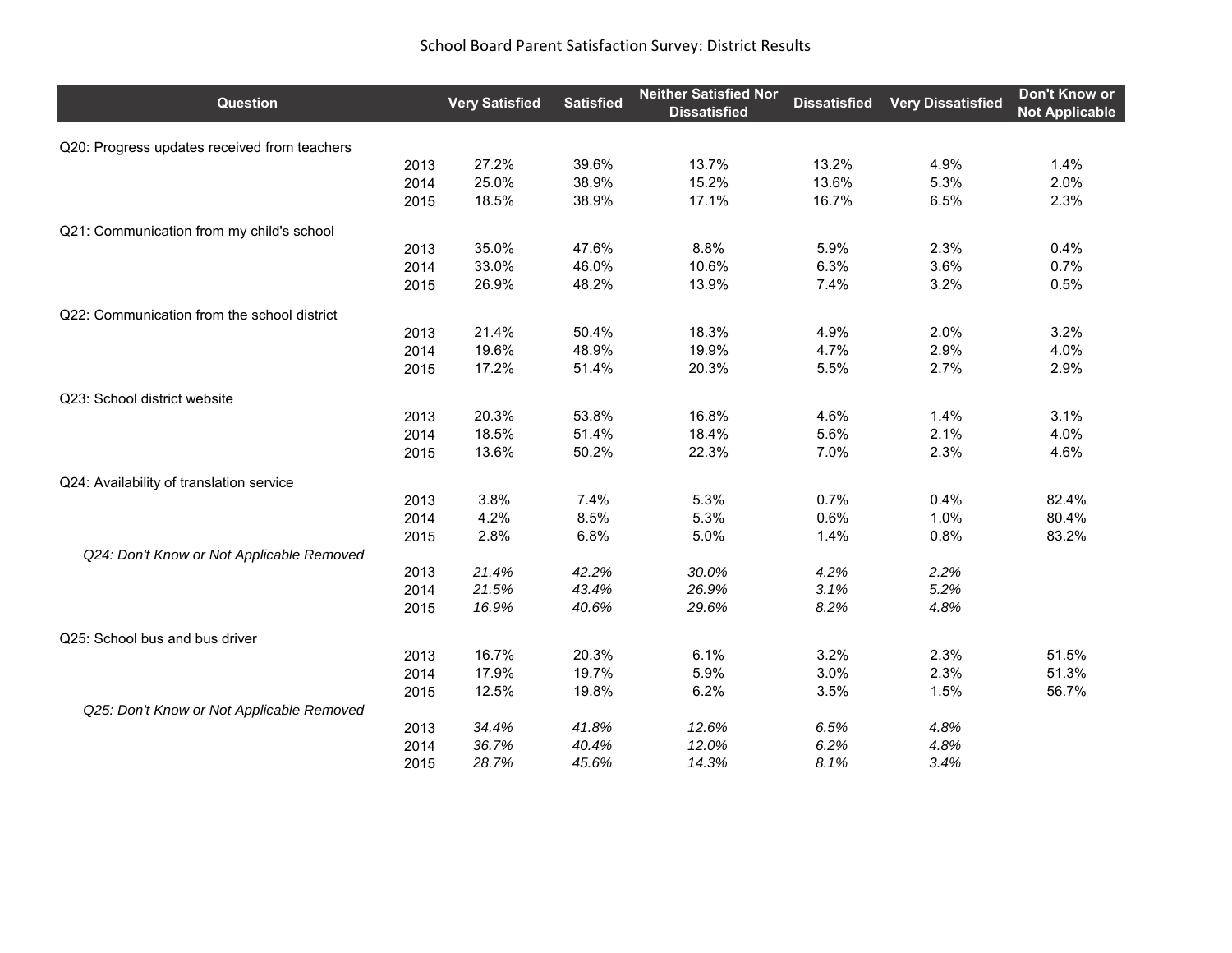| Question                                     | <b>Very Satisfied</b> | <b>Satisfied</b> | <b>Neither Satisfied Nor</b><br><b>Dissatisfied</b> | <b>Dissatisfied</b> | <b>Very Dissatisfied</b> | Don't Know or<br><b>Not Applicable</b> |
|----------------------------------------------|-----------------------|------------------|-----------------------------------------------------|---------------------|--------------------------|----------------------------------------|
| Q20: Progress updates received from teachers |                       |                  |                                                     |                     |                          |                                        |
| 2013                                         | 27.2%                 | 39.6%            | 13.7%                                               | 13.2%               | 4.9%                     | 1.4%                                   |
| 2014                                         | 25.0%                 | 38.9%            | 15.2%                                               | 13.6%               | 5.3%                     | 2.0%                                   |
| 2015                                         | 18.5%                 | 38.9%            | 17.1%                                               | 16.7%               | 6.5%                     | 2.3%                                   |
| Q21: Communication from my child's school    |                       |                  |                                                     |                     |                          |                                        |
| 2013                                         | 35.0%                 | 47.6%            | 8.8%                                                | 5.9%                | 2.3%                     | 0.4%                                   |
| 2014                                         | 33.0%                 | 46.0%            | 10.6%                                               | 6.3%                | 3.6%                     | 0.7%                                   |
| 2015                                         | 26.9%                 | 48.2%            | 13.9%                                               | 7.4%                | 3.2%                     | 0.5%                                   |
| Q22: Communication from the school district  |                       |                  |                                                     |                     |                          |                                        |
| 2013                                         | 21.4%                 | 50.4%            | 18.3%                                               | 4.9%                | 2.0%                     | 3.2%                                   |
| 2014                                         | 19.6%                 | 48.9%            | 19.9%                                               | 4.7%                | 2.9%                     | 4.0%                                   |
| 2015                                         | 17.2%                 | 51.4%            | 20.3%                                               | 5.5%                | 2.7%                     | 2.9%                                   |
| Q23: School district website                 |                       |                  |                                                     |                     |                          |                                        |
| 2013                                         | 20.3%                 | 53.8%            | 16.8%                                               | 4.6%                | 1.4%                     | 3.1%                                   |
| 2014                                         | 18.5%                 | 51.4%            | 18.4%                                               | 5.6%                | 2.1%                     | 4.0%                                   |
| 2015                                         | 13.6%                 | 50.2%            | 22.3%                                               | 7.0%                | 2.3%                     | 4.6%                                   |
| Q24: Availability of translation service     |                       |                  |                                                     |                     |                          |                                        |
| 2013                                         | 3.8%                  | 7.4%             | 5.3%                                                | 0.7%                | 0.4%                     | 82.4%                                  |
| 2014                                         | 4.2%                  | 8.5%             | 5.3%                                                | 0.6%                | 1.0%                     | 80.4%                                  |
| 2015                                         | 2.8%                  | 6.8%             | 5.0%                                                | 1.4%                | 0.8%                     | 83.2%                                  |
| Q24: Don't Know or Not Applicable Removed    |                       |                  |                                                     |                     |                          |                                        |
| 2013                                         | 21.4%                 | 42.2%            | 30.0%                                               | 4.2%                | 2.2%                     |                                        |
| 2014                                         | 21.5%                 | 43.4%            | 26.9%                                               | 3.1%                | 5.2%                     |                                        |
| 2015                                         | 16.9%                 | 40.6%            | 29.6%                                               | 8.2%                | 4.8%                     |                                        |
| Q25: School bus and bus driver               |                       |                  |                                                     |                     |                          |                                        |
| 2013                                         | 16.7%                 | 20.3%            | 6.1%                                                | 3.2%                | 2.3%                     | 51.5%                                  |
| 2014                                         | 17.9%                 | 19.7%            | 5.9%                                                | 3.0%                | 2.3%                     | 51.3%                                  |
| 2015                                         | 12.5%                 | 19.8%            | 6.2%                                                | 3.5%                | 1.5%                     | 56.7%                                  |
| Q25: Don't Know or Not Applicable Removed    |                       |                  |                                                     |                     |                          |                                        |
| 2013                                         | 34.4%                 | 41.8%            | 12.6%                                               | 6.5%                | 4.8%                     |                                        |
| 2014                                         | 36.7%                 | 40.4%            | 12.0%                                               | 6.2%                | 4.8%                     |                                        |
| 2015                                         | 28.7%                 | 45.6%            | 14.3%                                               | 8.1%                | 3.4%                     |                                        |